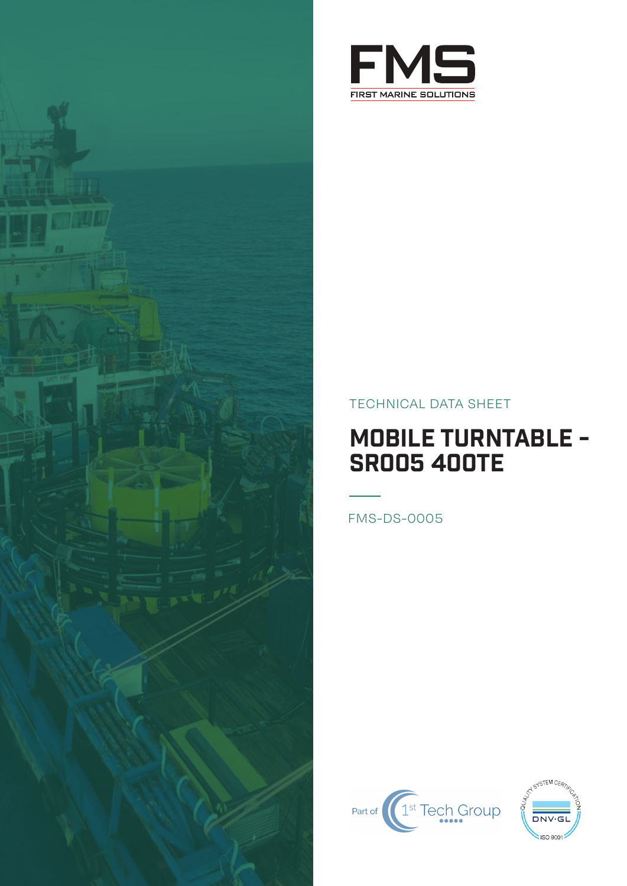

## TECHNICAL DATA SHEET

## MOBILE TURNTABLE - SR005 400TE

FMS-DS-0005



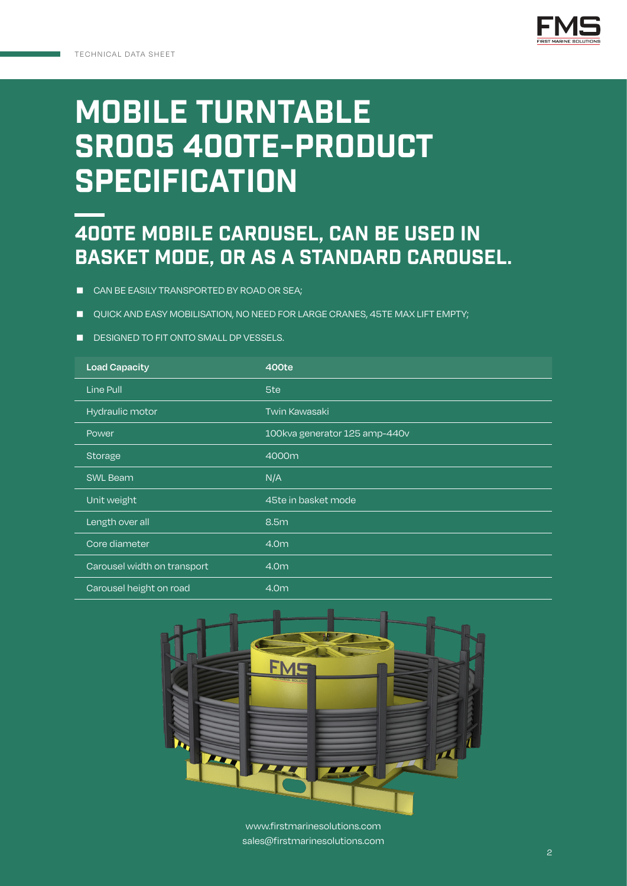

## MOBILE TURNTABLE sr005 400te-PRODUCT **SPECIFICATION**

## 400te mobile carousel, can be used in basket mode, or as a standard carousel.

- CAN BE EASILY TRANSPORTED BY ROAD OR SEA;
- QUICK AND EASY MOBILISATION, NO NEED FOR LARGE CRANES, 45TE MAX LIFT EMPTY;
- DESIGNED TO FIT ONTO SMALL DP VESSELS.

| <b>Load Capacity</b>        | 400te                         |
|-----------------------------|-------------------------------|
| Line Pull                   | 5te                           |
| Hydraulic motor             | <b>Twin Kawasaki</b>          |
| Power                       | 100kva generator 125 amp-440v |
| <b>Storage</b>              | 4000m                         |
| <b>SWL Beam</b>             | N/A                           |
| Unit weight                 | 45te in basket mode           |
| Length over all             | 8.5m                          |
| Core diameter               | 4.0m                          |
| Carousel width on transport | 4.0m                          |
| Carousel height on road     | 4.0m                          |



www.firstmarinesolutions.com sales@firstmarinesolutions.com